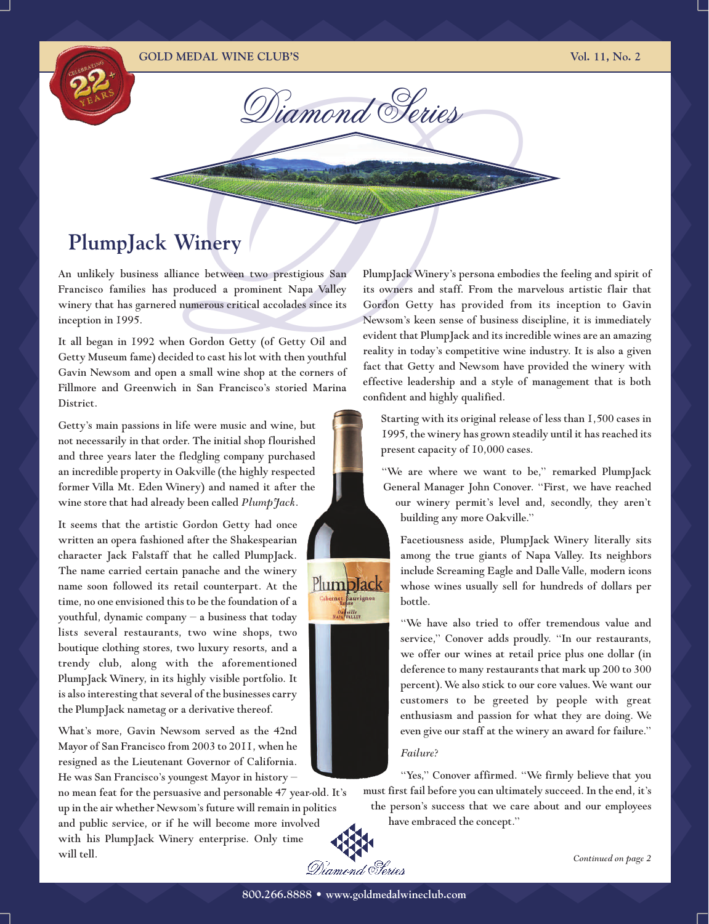#### **GOLD MEDAL WINE CLUB'S Vol. 11, No. 2**

*Diamond Series*

# **PlumpJack Winery**

An unlikely business alliance between two prestigious San Francisco families has produced a prominent Napa Valley winery that has garnered numerous critical accolades since its inception in 1995.

**Example 2014**<br> **EXAMPLE PY**<br>
Salliance between two prestigious San PlumpJack<br>
as produced a prominent Napa Valley its owners<br>
ered numerous critical accolades since its Gordon Go<br>
Newsom's l<br>
when Gordon Getty (of Getty O It all began in 1992 when Gordon Getty (of Getty Oil and Getty Museum fame) decided to cast his lot with then youthful Gavin Newsom and open a small wine shop at the corners of Fillmore and Greenwich in San Francisco's storied Marina District.

Getty's main passions in life were music and wine, but not necessarily in that order. The initial shop flourished and three years later the fledgling company purchased an incredible property in Oakville (the highly respected former Villa Mt. Eden Winery) and named it after the wine store that had already been called *PlumpJack*.

It seems that the artistic Gordon Getty had once written an opera fashioned after the Shakespearian character Jack Falstaff that he called PlumpJack. The name carried certain panache and the winery name soon followed its retail counterpart. At the time, no one envisioned this to be the foundation of a youthful, dynamic company – a business that today lists several restaurants, two wine shops, two boutique clothing stores, two luxury resorts, and a trendy club, along with the aforementioned PlumpJack Winery, in its highly visible portfolio. It is also interesting that several of the businesses carry the PlumpJack nametag or a derivative thereof.

What's more, Gavin Newsom served as the 42nd Mayor of San Francisco from 2003 to 2011, when he resigned as the Lieutenant Governor of California. He was San Francisco's youngest Mayor in history –

no mean feat for the persuasive and personable 47 year-old. It's up in the air whether Newsom's future will remain in politics and public service, or if he will become more involved with his PlumpJack Winery enterprise. Only time will tell.

PlumpJackWinery's persona embodies the feeling and spirit of its owners and staff. From the marvelous artistic flair that Gordon Getty has provided from its inception to Gavin Newsom's keen sense of business discipline, it is immediately evident that PlumpJack and its incredible wines are an amazing reality in today's competitive wine industry. It is also a given fact that Getty and Newsom have provided the winery with effective leadership and a style of management that is both confident and highly qualified.

Starting with its original release of less than 1,500 cases in 1995, the winery has grown steadily until it has reached its present capacity of 10,000 cases.

"We are where we want to be," remarked PlumpJack General Manager John Conover. "First, we have reached our winery permit's level and, secondly, they aren't building any more Oakville."

Facetiousness aside, PlumpJack Winery literally sits among the true giants of Napa Valley. Its neighbors include Screaming Eagle and Dalle Valle, modern icons whose wines usually sell for hundreds of dollars per bottle.

"We have also tried to offer tremendous value and service," Conover adds proudly. "In our restaurants, we offer our wines at retail price plus one dollar (in deference to many restaurants that mark up 200 to 300 percent).We also stick to our core values.We want our customers to be greeted by people with great enthusiasm and passion for what they are doing. We even give our staff at the winery an award for failure."

#### *Failure?*

"Yes," Conover affirmed. "We firmly believe that you must first fail before you can ultimately succeed. In the end, it's the person's success that we care about and our employees

have embraced the concept."



PlumpJack thernet Sauvignon Ospville<br>APANALLEY